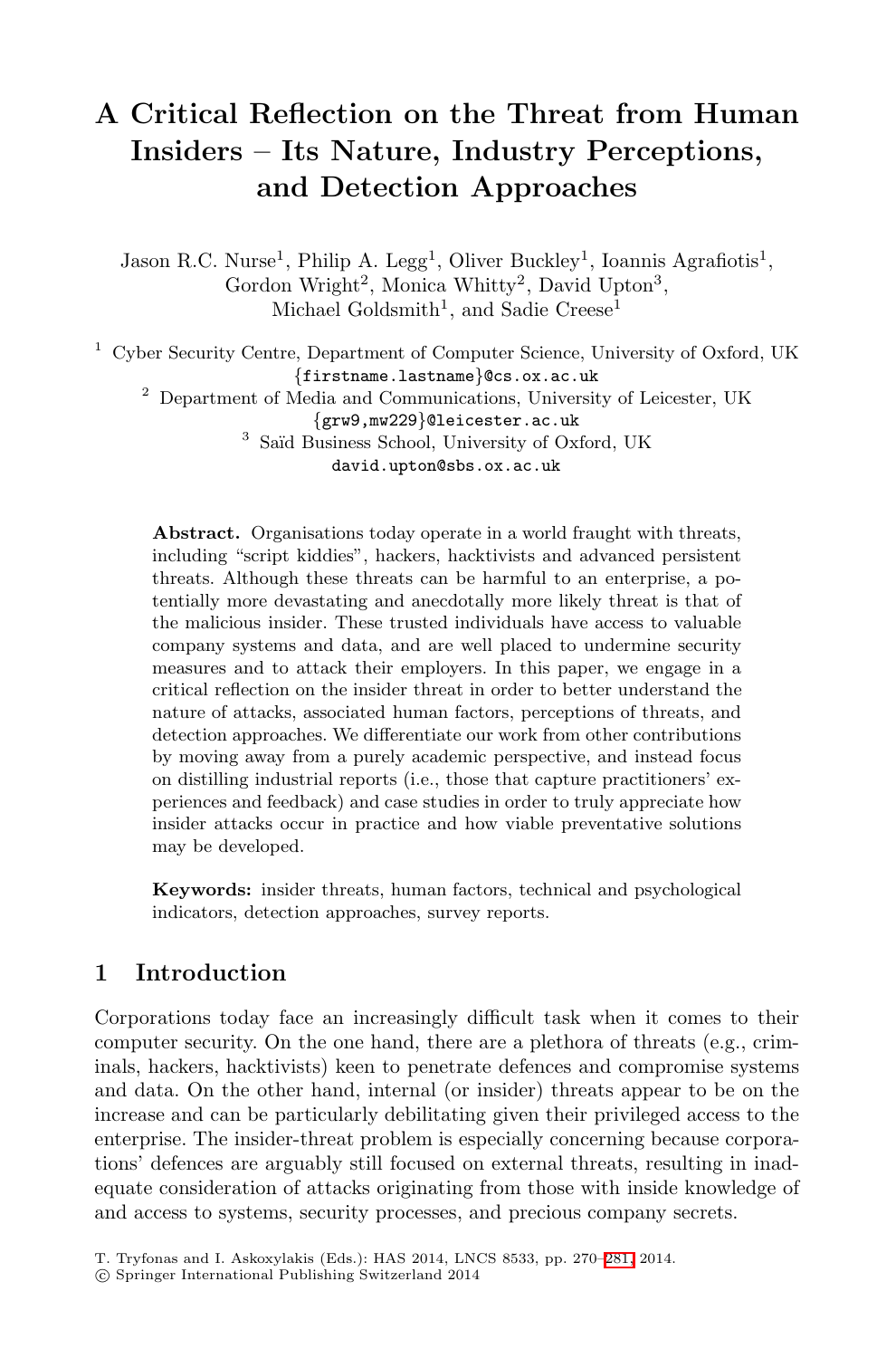# A Critical Reflection on the Threat from Human Insiders – Its Nature, Industry Perceptions, and Detection Approaches

Jason R.C. Nurse<sup>1</sup>, Philip A. Legg<sup>1</sup>, Oliver Buckley<sup>1</sup>, Ioannis Agrafiotis<sup>1</sup>, Gordon Wright<sup>2</sup>, Monica Whitty<sup>2</sup>, David Upton<sup>3</sup>, Michael Goldsmith<sup>1</sup>, and Sadie Creese<sup>1</sup>

<sup>1</sup> Cyber Security Centre, Department of Computer Science, University of Oxford, UK {firstname.lastname}@cs.ox.ac.uk <sup>2</sup> Department of Media and Communications, University of Leicester, UK

 ${grw9, mw229}$ @leicester.ac.uk 3 Saïd Business School, University of Oxford, UK

david.upton@sbs.ox.ac.uk

Abstract. Organisations today operate in a world fraught with threats, including "script kiddies", hackers, hacktivists and advanced persistent threats. Although these threats can be harmful to an enterprise, a potentially more devastating and anecdotally more likely threat is that of the malicious insider. These trusted individuals have access to valuable company systems and data, and are well placed to undermine security measures and to attack their employers. In this paper, we engage in a critical reflection on the insider threat in order to better understand the nature of attacks, associated human factors, perceptions of threats, and detection approaches. We differentiate our work from other contributions by moving away from a purely academic perspective, and instead focus on distilling industrial reports (i.e., those that capture practitioners' experiences and feedback) and case studies in order to truly appreciate how insider attacks occur in practice and how viable preventative solutions may be developed.

Keywords: insider threats, human factors, technical and psychological indicators, detection approaches, survey reports.

## 1 Introduction

Corporations today face an increasingly difficult task when it comes to their computer security. On the one hand, there are a plethora of threats (e.g., criminals, hackers, hacktivists) keen to penetrate defences and compromise systems and data. On the other hand, internal (or insider) threats appear to be on the increase and can be particularly debilitating given their privileged access to the enterprise. The insider-threat problem is especially concerning because corporations' defences are arguably still focused on external threats, resulting in inadequate consideration of attacks originating from those with inside knowledge of and access to systems, security processes, and precious company secrets.

<sup>⃝</sup>c Springer International Publishing Switzerland 2014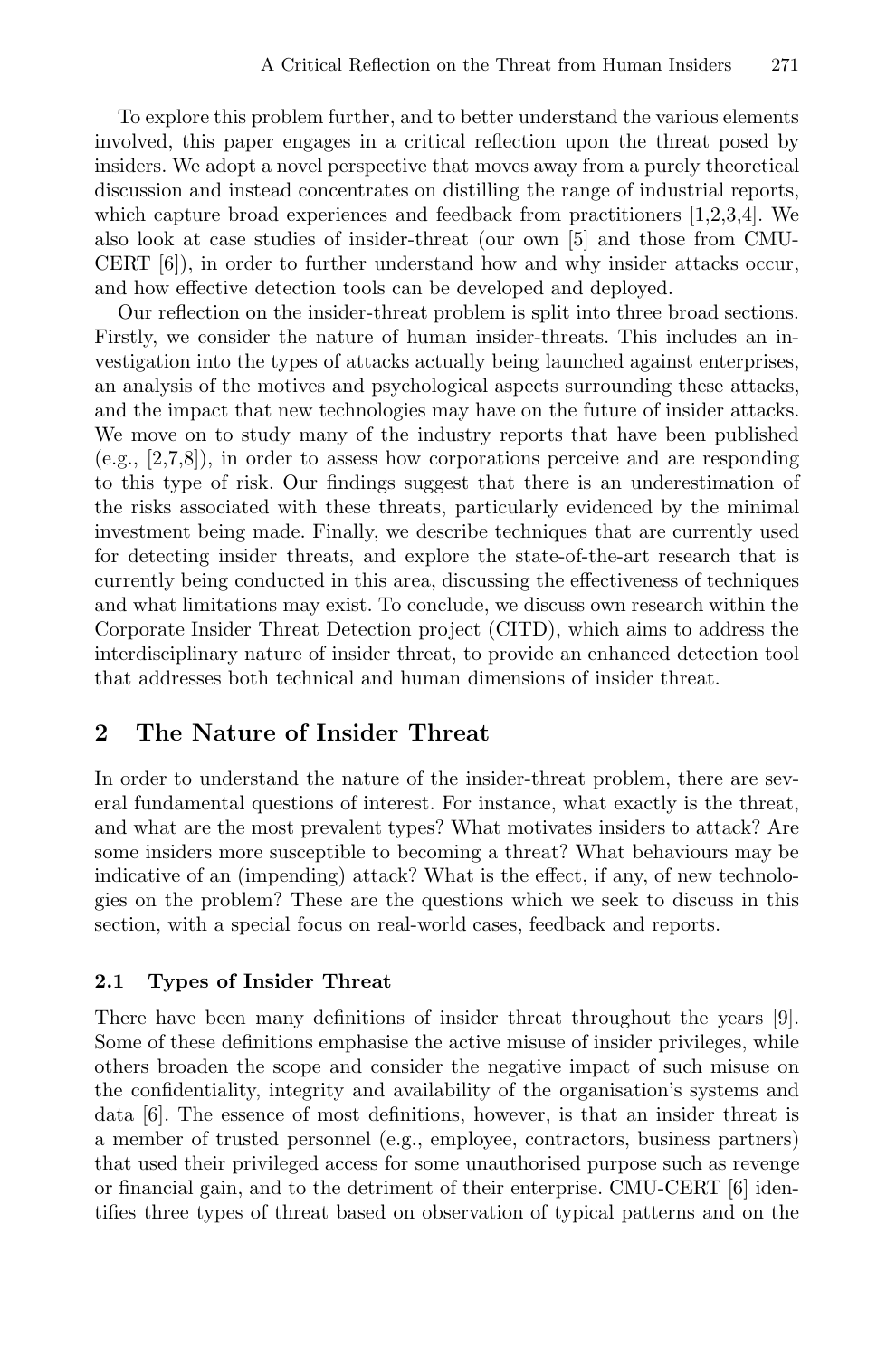To explore this problem further, and to better understand the various elements involved, this paper engages in a critical reflection upon the threat posed by insiders. We adopt a novel perspective that moves away from a purely theoretical discussion and instead concentrates on distilling the range of industrial reports, which capture broad experiences and feedback from practitioners [\[1](#page-10-0)[,2](#page-10-1)[,3](#page-10-2)[,4\]](#page-10-3). We also look at case studies of insider-threat (our own [\[5\]](#page-10-4) and those from CMU-CERT [\[6\]](#page-10-5)), in order to further understand how and why insider attacks occur, and how effective detection tools can be developed and deployed.

Our reflection on the insider-threat problem is split into three broad sections. Firstly, we consider the nature of human insider-threats. This includes an investigation into the types of attacks actually being launched against enterprises, an analysis of the motives and psychological aspects surrounding these attacks, and the impact that new technologies may have on the future of insider attacks. We move on to study many of the industry reports that have been published (e.g., [\[2](#page-10-1)[,7](#page-10-6)[,8\]](#page-10-7)), in order to assess how corporations perceive and are responding to this type of risk. Our findings suggest that there is an underestimation of the risks associated with these threats, particularly evidenced by the minimal investment being made. Finally, we describe techniques that are currently used for detecting insider threats, and explore the state-of-the-art research that is currently being conducted in this area, discussing the effectiveness of techniques and what limitations may exist. To conclude, we discuss own research within the Corporate Insider Threat Detection project (CITD), which aims to address the interdisciplinary nature of insider threat, to provide an enhanced detection tool that addresses both technical and human dimensions of insider threat.

### 2 The Nature of Insider Threat

In order to understand the nature of the insider-threat problem, there are several fundamental questions of interest. For instance, what exactly is the threat, and what are the most prevalent types? What motivates insiders to attack? Are some insiders more susceptible to becoming a threat? What behaviours may be indicative of an (impending) attack? What is the effect, if any, of new technologies on the problem? These are the questions which we seek to discuss in this section, with a special focus on real-world cases, feedback and reports.

#### 2.1 Types of Insider Threat

There have been many definitions of insider threat throughout the years [\[9\]](#page-10-8). Some of these definitions emphasise the active misuse of insider privileges, while others broaden the scope and consider the negative impact of such misuse on the confidentiality, integrity and availability of the organisation's systems and data [\[6\]](#page-10-5). The essence of most definitions, however, is that an insider threat is a member of trusted personnel (e.g., employee, contractors, business partners) that used their privileged access for some unauthorised purpose such as revenge or financial gain, and to the detriment of their enterprise. CMU-CERT [\[6\]](#page-10-5) identifies three types of threat based on observation of typical patterns and on the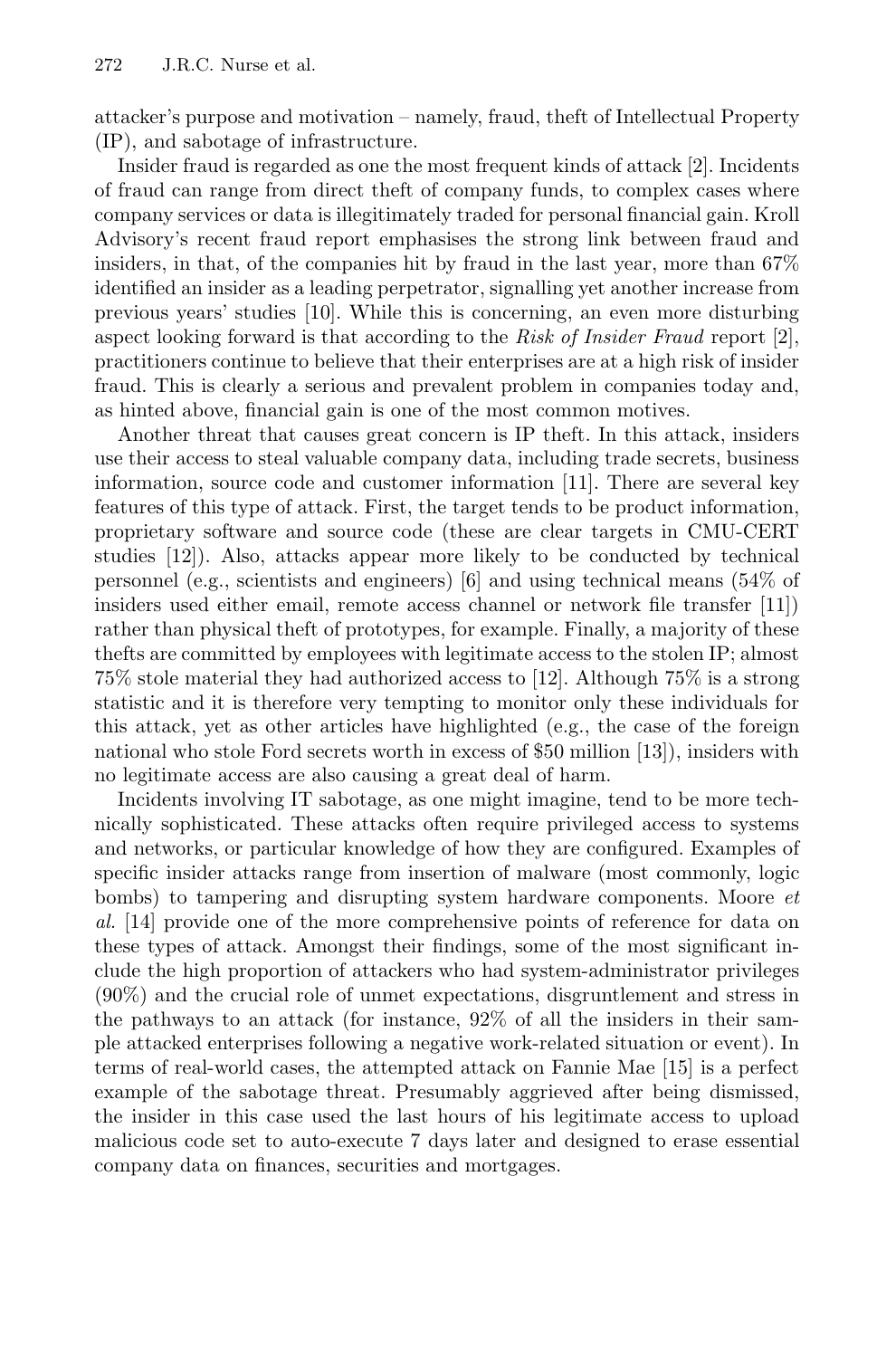attacker's purpose and motivation – namely, fraud, theft of Intellectual Property (IP), and sabotage of infrastructure.

Insider fraud is regarded as one the most frequent kinds of attack [\[2\]](#page-10-1). Incidents of fraud can range from direct theft of company funds, to complex cases where company services or data is illegitimately traded for personal financial gain. Kroll Advisory's recent fraud report emphasises the strong link between fraud and insiders, in that, of the companies hit by fraud in the last year, more than 67% identified an insider as a leading perpetrator, signalling yet another increase from previous years' studies [\[10\]](#page-10-9). While this is concerning, an even more disturbing aspect looking forward is that according to the Risk of Insider Fraud report  $[2]$ , practitioners continue to believe that their enterprises are at a high risk of insider fraud. This is clearly a serious and prevalent problem in companies today and, as hinted above, financial gain is one of the most common motives.

Another threat that causes great concern is IP theft. In this attack, insiders use their access to steal valuable company data, including trade secrets, business information, source code and customer information [\[11\]](#page-10-10). There are several key features of this type of attack. First, the target tends to be product information, proprietary software and source code (these are clear targets in CMU-CERT studies [\[12\]](#page-10-11)). Also, attacks appear more likely to be conducted by technical personnel (e.g., scientists and engineers) [\[6\]](#page-10-5) and using technical means (54% of insiders used either email, remote access channel or network file transfer [\[11\]](#page-10-10)) rather than physical theft of prototypes, for example. Finally, a majority of these thefts are committed by employees with legitimate access to the stolen IP; almost 75% stole material they had authorized access to [\[12\]](#page-10-11). Although 75% is a strong statistic and it is therefore very tempting to monitor only these individuals for this attack, yet as other articles have highlighted (e.g., the case of the foreign national who stole Ford secrets worth in excess of \$50 million [\[13\]](#page-10-12)), insiders with no legitimate access are also causing a great deal of harm.

Incidents involving IT sabotage, as one might imagine, tend to be more technically sophisticated. These attacks often require privileged access to systems and networks, or particular knowledge of how they are configured. Examples of specific insider attacks range from insertion of malware (most commonly, logic bombs) to tampering and disrupting system hardware components. Moore et al. [\[14\]](#page-10-13) provide one of the more comprehensive points of reference for data on these types of attack. Amongst their findings, some of the most significant include the high proportion of attackers who had system-administrator privileges (90%) and the crucial role of unmet expectations, disgruntlement and stress in the pathways to an attack (for instance, 92% of all the insiders in their sample attacked enterprises following a negative work-related situation or event). In terms of real-world cases, the attempted attack on Fannie Mae [\[15\]](#page-10-14) is a perfect example of the sabotage threat. Presumably aggrieved after being dismissed, the insider in this case used the last hours of his legitimate access to upload malicious code set to auto-execute 7 days later and designed to erase essential company data on finances, securities and mortgages.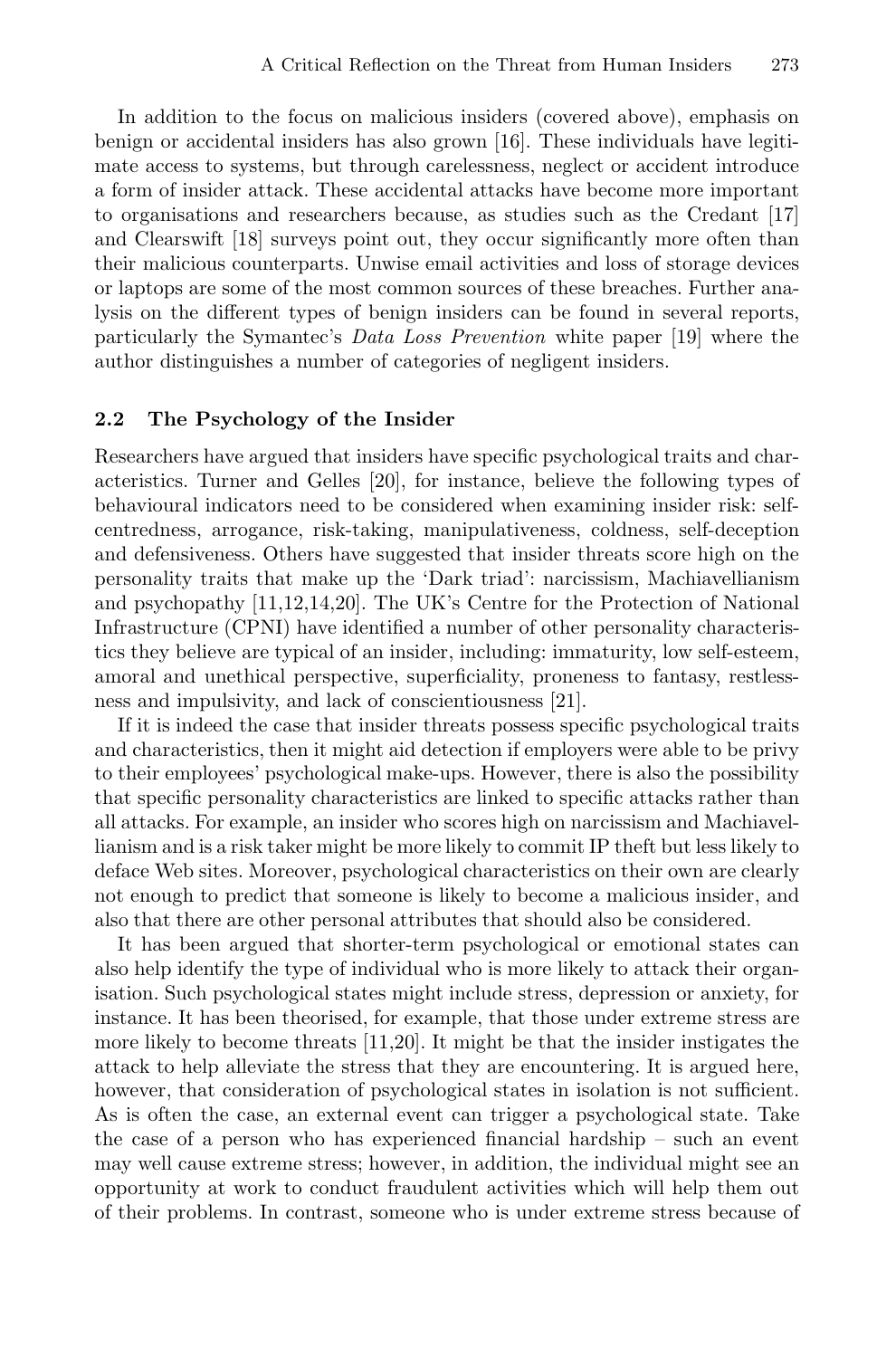In addition to the focus on malicious insiders (covered above), emphasis on benign or accidental insiders has also grown [\[16\]](#page-10-15). These individuals have legitimate access to systems, but through carelessness, neglect or accident introduce a form of insider attack. These accidental attacks have become more important to organisations and researchers because, as studies such as the Credant [\[17\]](#page-10-16) and Clearswift [\[18\]](#page-10-17) surveys point out, they occur significantly more often than their malicious counterparts. Unwise email activities and loss of storage devices or laptops are some of the most common sources of these breaches. Further analysis on the different types of benign insiders can be found in several reports, particularly the Symantec's Data Loss Prevention white paper [\[19\]](#page-11-1) where the author distinguishes a number of categories of negligent insiders.

#### 2.2 The Psychology of the Insider

Researchers have argued that insiders have specific psychological traits and characteristics. Turner and Gelles [\[20\]](#page-11-2), for instance, believe the following types of behavioural indicators need to be considered when examining insider risk: selfcentredness, arrogance, risk-taking, manipulativeness, coldness, self-deception and defensiveness. Others have suggested that insider threats score high on the personality traits that make up the 'Dark triad': narcissism, Machiavellianism and psychopathy [\[11](#page-10-10)[,12,](#page-10-11)[14](#page-10-13)[,20\]](#page-11-2). The UK's Centre for the Protection of National Infrastructure (CPNI) have identified a number of other personality characteristics they believe are typical of an insider, including: immaturity, low self-esteem, amoral and unethical perspective, superficiality, proneness to fantasy, restlessness and impulsivity, and lack of conscientiousness [\[21\]](#page-11-3).

If it is indeed the case that insider threats possess specific psychological traits and characteristics, then it might aid detection if employers were able to be privy to their employees' psychological make-ups. However, there is also the possibility that specific personality characteristics are linked to specific attacks rather than all attacks. For example, an insider who scores high on narcissism and Machiavellianism and is a risk taker might be more likely to commit IP theft but less likely to deface Web sites. Moreover, psychological characteristics on their own are clearly not enough to predict that someone is likely to become a malicious insider, and also that there are other personal attributes that should also be considered.

It has been argued that shorter-term psychological or emotional states can also help identify the type of individual who is more likely to attack their organisation. Such psychological states might include stress, depression or anxiety, for instance. It has been theorised, for example, that those under extreme stress are more likely to become threats [\[11,](#page-10-10)[20\]](#page-11-2). It might be that the insider instigates the attack to help alleviate the stress that they are encountering. It is argued here, however, that consideration of psychological states in isolation is not sufficient. As is often the case, an external event can trigger a psychological state. Take the case of a person who has experienced financial hardship – such an event may well cause extreme stress; however, in addition, the individual might see an opportunity at work to conduct fraudulent activities which will help them out of their problems. In contrast, someone who is under extreme stress because of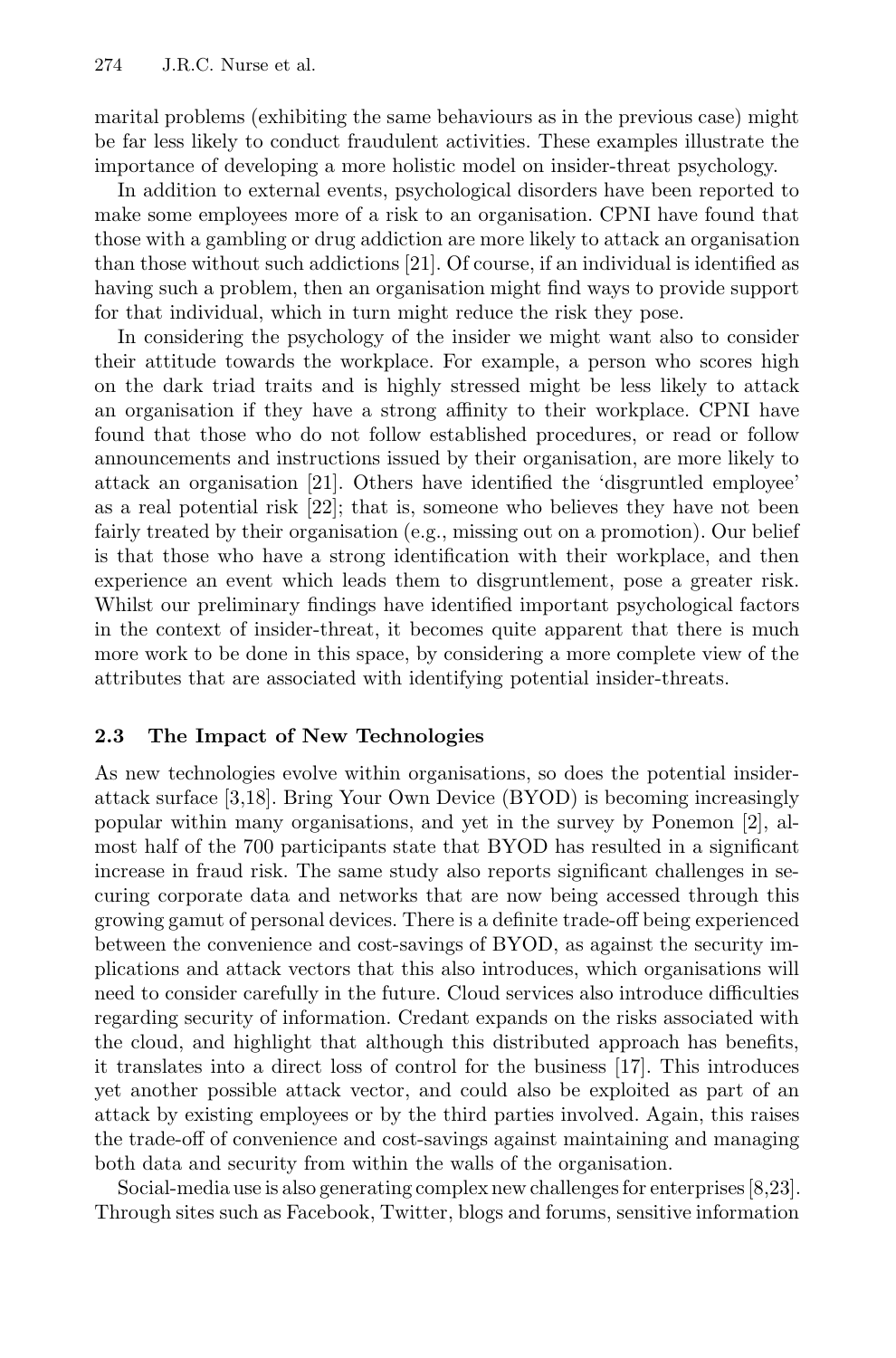marital problems (exhibiting the same behaviours as in the previous case) might be far less likely to conduct fraudulent activities. These examples illustrate the importance of developing a more holistic model on insider-threat psychology.

In addition to external events, psychological disorders have been reported to make some employees more of a risk to an organisation. CPNI have found that those with a gambling or drug addiction are more likely to attack an organisation than those without such addictions [\[21\]](#page-11-3). Of course, if an individual is identified as having such a problem, then an organisation might find ways to provide support for that individual, which in turn might reduce the risk they pose.

In considering the psychology of the insider we might want also to consider their attitude towards the workplace. For example, a person who scores high on the dark triad traits and is highly stressed might be less likely to attack an organisation if they have a strong affinity to their workplace. CPNI have found that those who do not follow established procedures, or read or follow announcements and instructions issued by their organisation, are more likely to attack an organisation [\[21\]](#page-11-3). Others have identified the 'disgruntled employee' as a real potential risk [\[22\]](#page-11-4); that is, someone who believes they have not been fairly treated by their organisation (e.g., missing out on a promotion). Our belief is that those who have a strong identification with their workplace, and then experience an event which leads them to disgruntlement, pose a greater risk. Whilst our preliminary findings have identified important psychological factors in the context of insider-threat, it becomes quite apparent that there is much more work to be done in this space, by considering a more complete view of the attributes that are associated with identifying potential insider-threats.

#### 2.3 The Impact of New Technologies

As new technologies evolve within organisations, so does the potential insiderattack surface [\[3](#page-10-2)[,18\]](#page-10-17). Bring Your Own Device (BYOD) is becoming increasingly popular within many organisations, and yet in the survey by Ponemon [\[2\]](#page-10-1), almost half of the 700 participants state that BYOD has resulted in a significant increase in fraud risk. The same study also reports significant challenges in securing corporate data and networks that are now being accessed through this growing gamut of personal devices. There is a definite trade-off being experienced between the convenience and cost-savings of BYOD, as against the security implications and attack vectors that this also introduces, which organisations will need to consider carefully in the future. Cloud services also introduce difficulties regarding security of information. Credant expands on the risks associated with the cloud, and highlight that although this distributed approach has benefits, it translates into a direct loss of control for the business [\[17\]](#page-10-16). This introduces yet another possible attack vector, and could also be exploited as part of an attack by existing employees or by the third parties involved. Again, this raises the trade-off of convenience and cost-savings against maintaining and managing both data and security from within the walls of the organisation.

Social-media use is also generating complex new challenges for enterprises [\[8,](#page-10-7)[23\]](#page-11-5). Through sites such as Facebook, Twitter, blogs and forums, sensitive information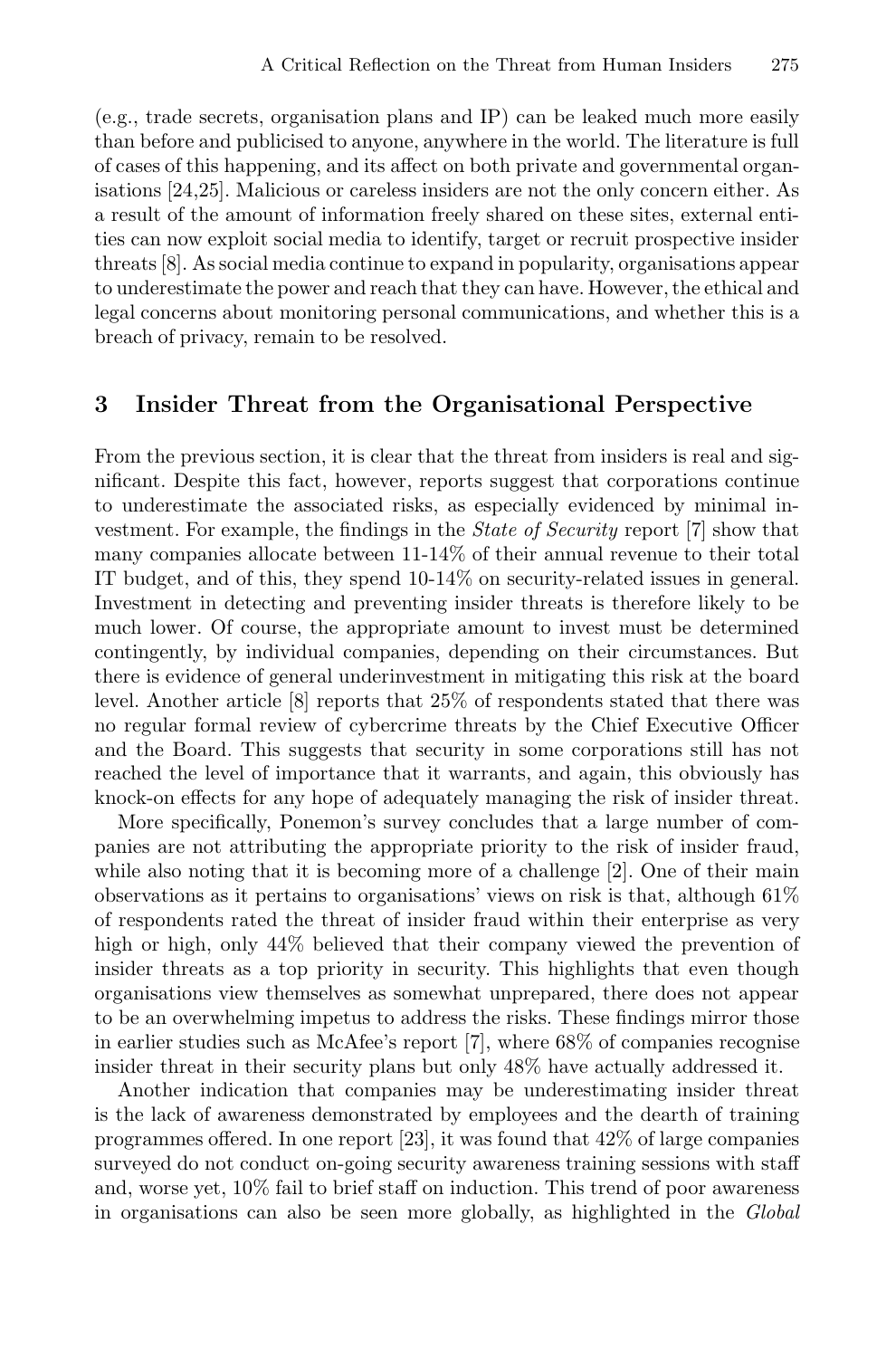<span id="page-5-0"></span>(e.g., trade secrets, organisation plans and IP) can be leaked much more easily than before and publicised to anyone, anywhere in the world. The literature is full of cases of this happening, and its affect on both private and governmental organisations [\[24,](#page-11-6)[25\]](#page-11-7). Malicious or careless insiders are not the only concern either. As a result of the amount of information freely shared on these sites, external entities can now exploit social media to identify, target or recruit prospective insider threats [\[8\]](#page-10-7). As social media continue to expand in popularity, organisations appear to underestimate the power and reach that they can have. However, the ethical and legal concerns about monitoring personal communications, and whether this is a breach of privacy, remain to be resolved.

### 3 Insider Threat from the Organisational Perspective

From the previous section, it is clear that the threat from insiders is real and significant. Despite this fact, however, reports suggest that corporations continue to underestimate the associated risks, as especially evidenced by minimal investment. For example, the findings in the State of Security report [\[7\]](#page-10-6) show that many companies allocate between 11-14% of their annual revenue to their total IT budget, and of this, they spend 10-14% on security-related issues in general. Investment in detecting and preventing insider threats is therefore likely to be much lower. Of course, the appropriate amount to invest must be determined contingently, by individual companies, depending on their circumstances. But there is evidence of general underinvestment in mitigating this risk at the board level. Another article [\[8\]](#page-10-7) reports that 25% of respondents stated that there was no regular formal review of cybercrime threats by the Chief Executive Officer and the Board. This suggests that security in some corporations still has not reached the level of importance that it warrants, and again, this obviously has knock-on effects for any hope of adequately managing the risk of insider threat.

More specifically, Ponemon's survey concludes that a large number of companies are not attributing the appropriate priority to the risk of insider fraud, while also noting that it is becoming more of a challenge [\[2\]](#page-10-1). One of their main observations as it pertains to organisations' views on risk is that, although 61% of respondents rated the threat of insider fraud within their enterprise as very high or high, only 44% believed that their company viewed the prevention of insider threats as a top priority in security. This highlights that even though organisations view themselves as somewhat unprepared, there does not appear to be an overwhelming impetus to address the risks. These findings mirror those in earlier studies such as McAfee's report [\[7\]](#page-10-6), where 68% of companies recognise insider threat in their security plans but only 48% have actually addressed it.

Another indication that companies may be underestimating insider threat is the lack of awareness demonstrated by employees and the dearth of training programmes offered. In one report [\[23\]](#page-11-5), it was found that 42% of large companies surveyed do not conduct on-going security awareness training sessions with staff and, worse yet, 10% fail to brief staff on induction. This trend of poor awareness in organisations can also be seen more globally, as highlighted in the Global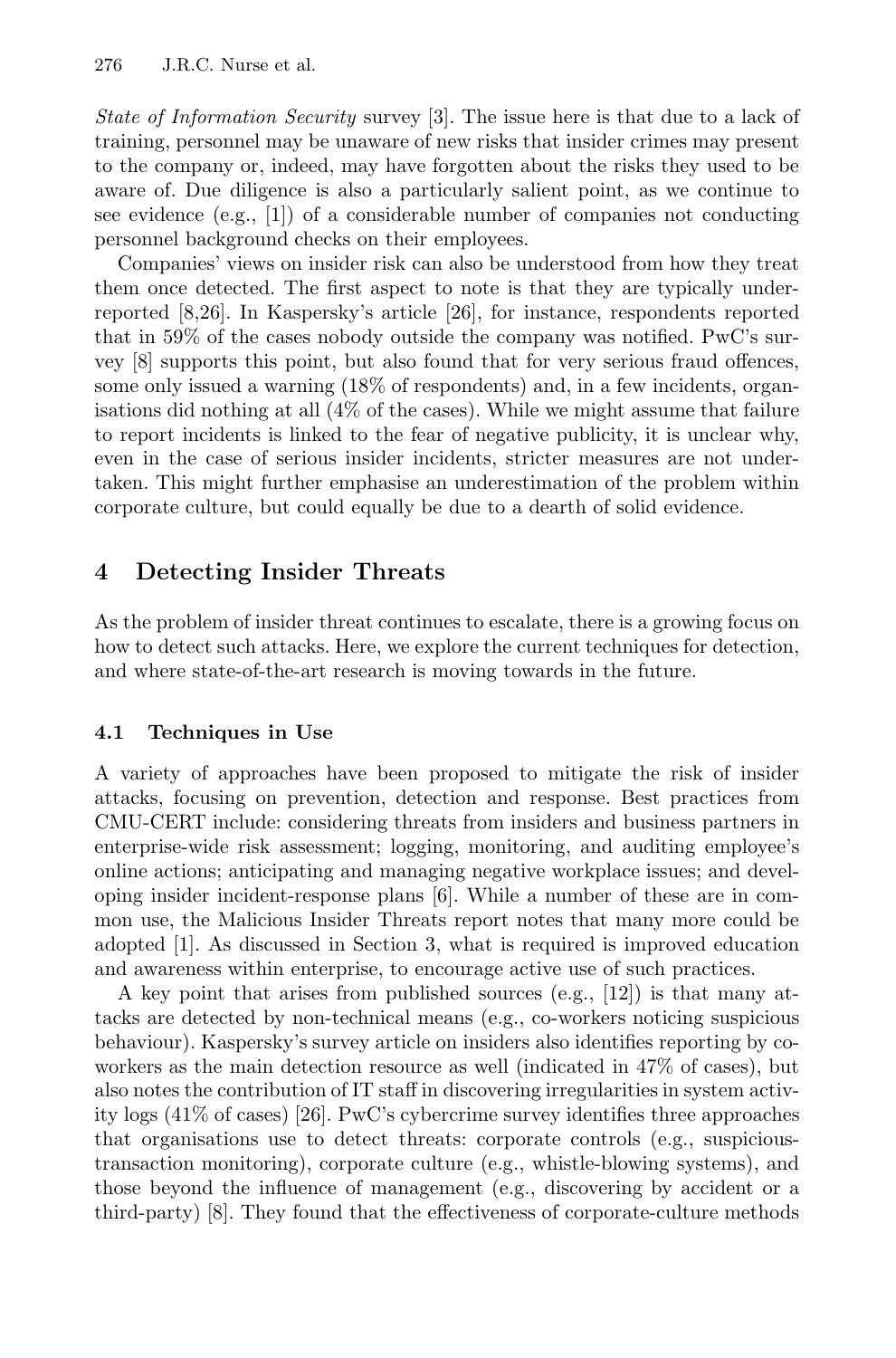State of Information Security survey [\[3\]](#page-10-2). The issue here is that due to a lack of training, personnel may be unaware of new risks that insider crimes may present to the company or, indeed, may have forgotten about the risks they used to be aware of. Due diligence is also a particularly salient point, as we continue to see evidence  $(e.g., 1])$  of a considerable number of companies not conducting personnel background checks on their employees.

Companies' views on insider risk can also be understood from how they treat them once detected. The first aspect to note is that they are typically underreported [\[8](#page-10-7)[,26\]](#page-11-8). In Kaspersky's article [\[26\]](#page-11-8), for instance, respondents reported that in 59% of the cases nobody outside the company was notified. PwC's survey [\[8\]](#page-10-7) supports this point, but also found that for very serious fraud offences, some only issued a warning (18% of respondents) and, in a few incidents, organisations did nothing at all (4% of the cases). While we might assume that failure to report incidents is linked to the fear of negative publicity, it is unclear why, even in the case of serious insider incidents, stricter measures are not undertaken. This might further emphasise an underestimation of the problem within corporate culture, but could equally be due to a dearth of solid evidence.

## 4 Detecting Insider Threats

As the problem of insider threat continues to escalate, there is a growing focus on how to detect such attacks. Here, we explore the current techniques for detection, and where state-of-the-art research is moving towards in the future.

## 4.1 Techniques in Use

A variety of approaches have been proposed to mitigate the risk of insider attacks, focusing on prevention, detection and response. Best practices from CMU-CERT include: considering threats from insiders and business partners in enterprise-wide risk assessment; logging, monitoring, and auditing employee's online actions; anticipating and managing negative workplace issues; and developing insider incident-response plans [\[6\]](#page-10-5). While a number of these are in common use, the Malicious Insider Threats report notes that many more could be adopted [\[1\]](#page-10-0). As discussed in Section [3,](#page-5-0) what is required is improved education and awareness within enterprise, to encourage active use of such practices.

A key point that arises from published sources (e.g., [\[12\]](#page-10-11)) is that many attacks are detected by non-technical means (e.g., co-workers noticing suspicious behaviour). Kaspersky's survey article on insiders also identifies reporting by coworkers as the main detection resource as well (indicated in 47% of cases), but also notes the contribution of IT staff in discovering irregularities in system activity logs (41% of cases) [\[26\]](#page-11-8). PwC's cybercrime survey identifies three approaches that organisations use to detect threats: corporate controls (e.g., suspicioustransaction monitoring), corporate culture (e.g., whistle-blowing systems), and those beyond the influence of management (e.g., discovering by accident or a third-party) [\[8\]](#page-10-7). They found that the effectiveness of corporate-culture methods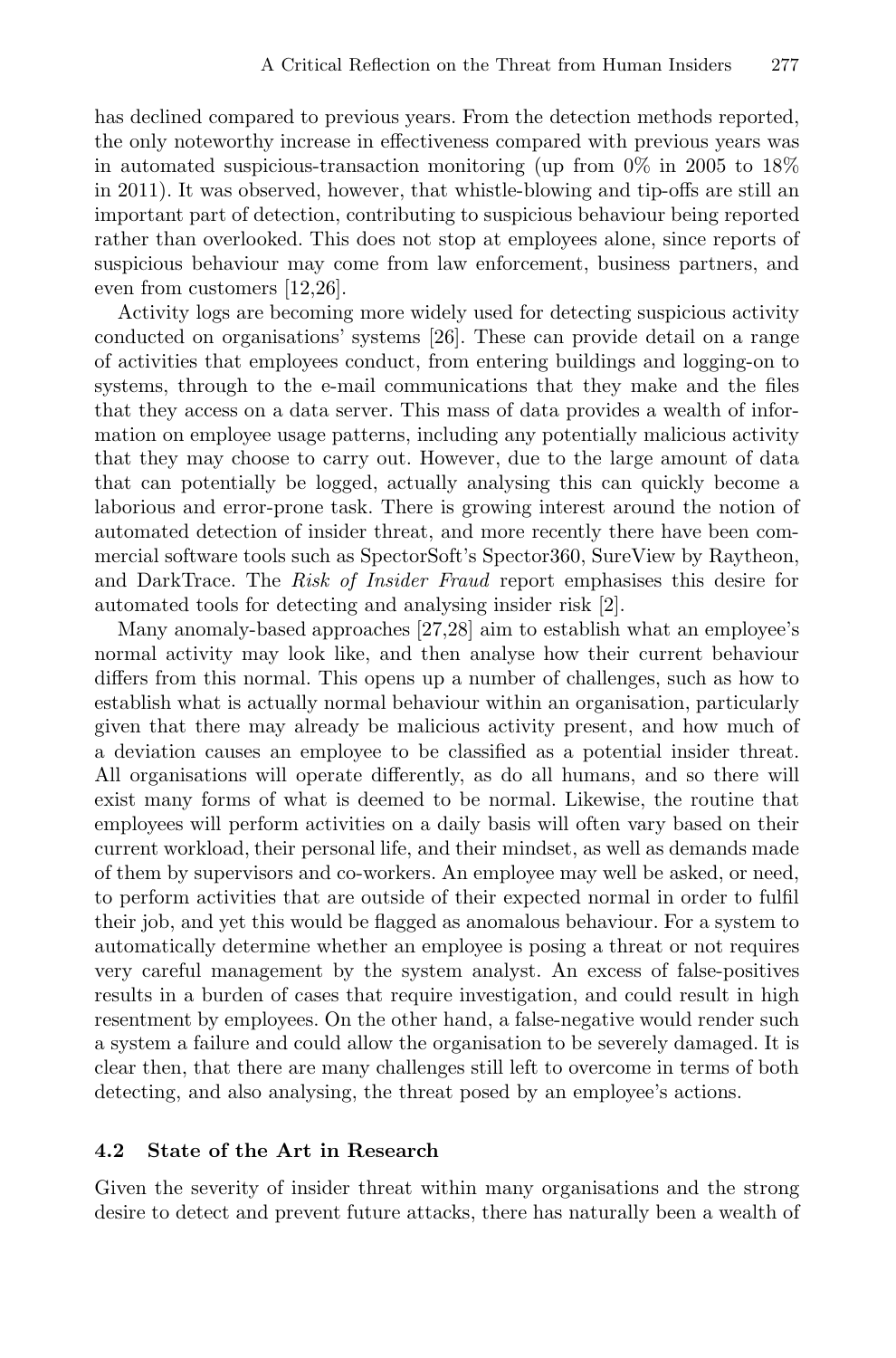has declined compared to previous years. From the detection methods reported, the only noteworthy increase in effectiveness compared with previous years was in automated suspicious-transaction monitoring (up from  $0\%$  in 2005 to 18%) in 2011). It was observed, however, that whistle-blowing and tip-offs are still an important part of detection, contributing to suspicious behaviour being reported rather than overlooked. This does not stop at employees alone, since reports of suspicious behaviour may come from law enforcement, business partners, and even from customers [\[12,](#page-10-11)[26\]](#page-11-8).

Activity logs are becoming more widely used for detecting suspicious activity conducted on organisations' systems [\[26\]](#page-11-8). These can provide detail on a range of activities that employees conduct, from entering buildings and logging-on to systems, through to the e-mail communications that they make and the files that they access on a data server. This mass of data provides a wealth of information on employee usage patterns, including any potentially malicious activity that they may choose to carry out. However, due to the large amount of data that can potentially be logged, actually analysing this can quickly become a laborious and error-prone task. There is growing interest around the notion of automated detection of insider threat, and more recently there have been commercial software tools such as SpectorSoft's Spector360, SureView by Raytheon, and DarkTrace. The Risk of Insider Fraud report emphasises this desire for automated tools for detecting and analysing insider risk [\[2\]](#page-10-1).

Many anomaly-based approaches [\[27,](#page-11-9)[28\]](#page-11-10) aim to establish what an employee's normal activity may look like, and then analyse how their current behaviour differs from this normal. This opens up a number of challenges, such as how to establish what is actually normal behaviour within an organisation, particularly given that there may already be malicious activity present, and how much of a deviation causes an employee to be classified as a potential insider threat. All organisations will operate differently, as do all humans, and so there will exist many forms of what is deemed to be normal. Likewise, the routine that employees will perform activities on a daily basis will often vary based on their current workload, their personal life, and their mindset, as well as demands made of them by supervisors and co-workers. An employee may well be asked, or need, to perform activities that are outside of their expected normal in order to fulfil their job, and yet this would be flagged as anomalous behaviour. For a system to automatically determine whether an employee is posing a threat or not requires very careful management by the system analyst. An excess of false-positives results in a burden of cases that require investigation, and could result in high resentment by employees. On the other hand, a false-negative would render such a system a failure and could allow the organisation to be severely damaged. It is clear then, that there are many challenges still left to overcome in terms of both detecting, and also analysing, the threat posed by an employee's actions.

#### 4.2 State of the Art in Research

Given the severity of insider threat within many organisations and the strong desire to detect and prevent future attacks, there has naturally been a wealth of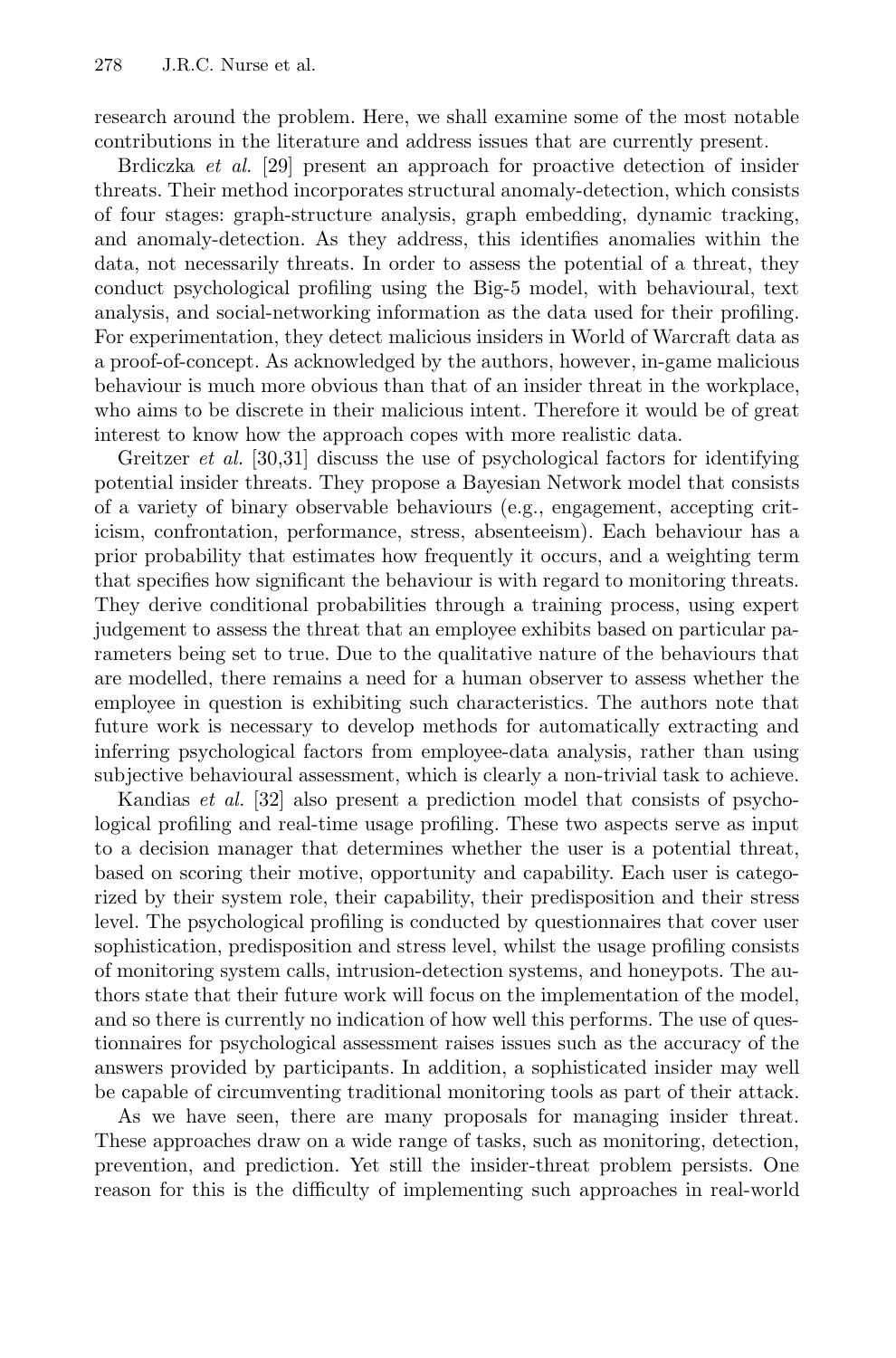research around the problem. Here, we shall examine some of the most notable contributions in the literature and address issues that are currently present.

Brdiczka *et al.* [\[29\]](#page-11-11) present an approach for proactive detection of insider threats. Their method incorporates structural anomaly-detection, which consists of four stages: graph-structure analysis, graph embedding, dynamic tracking, and anomaly-detection. As they address, this identifies anomalies within the data, not necessarily threats. In order to assess the potential of a threat, they conduct psychological profiling using the Big-5 model, with behavioural, text analysis, and social-networking information as the data used for their profiling. For experimentation, they detect malicious insiders in World of Warcraft data as a proof-of-concept. As acknowledged by the authors, however, in-game malicious behaviour is much more obvious than that of an insider threat in the workplace, who aims to be discrete in their malicious intent. Therefore it would be of great interest to know how the approach copes with more realistic data.

Greitzer et al. [\[30](#page-11-12)[,31\]](#page-11-13) discuss the use of psychological factors for identifying potential insider threats. They propose a Bayesian Network model that consists of a variety of binary observable behaviours (e.g., engagement, accepting criticism, confrontation, performance, stress, absenteeism). Each behaviour has a prior probability that estimates how frequently it occurs, and a weighting term that specifies how significant the behaviour is with regard to monitoring threats. They derive conditional probabilities through a training process, using expert judgement to assess the threat that an employee exhibits based on particular parameters being set to true. Due to the qualitative nature of the behaviours that are modelled, there remains a need for a human observer to assess whether the employee in question is exhibiting such characteristics. The authors note that future work is necessary to develop methods for automatically extracting and inferring psychological factors from employee-data analysis, rather than using subjective behavioural assessment, which is clearly a non-trivial task to achieve.

Kandias et al. [\[32\]](#page-11-14) also present a prediction model that consists of psychological profiling and real-time usage profiling. These two aspects serve as input to a decision manager that determines whether the user is a potential threat, based on scoring their motive, opportunity and capability. Each user is categorized by their system role, their capability, their predisposition and their stress level. The psychological profiling is conducted by questionnaires that cover user sophistication, predisposition and stress level, whilst the usage profiling consists of monitoring system calls, intrusion-detection systems, and honeypots. The authors state that their future work will focus on the implementation of the model, and so there is currently no indication of how well this performs. The use of questionnaires for psychological assessment raises issues such as the accuracy of the answers provided by participants. In addition, a sophisticated insider may well be capable of circumventing traditional monitoring tools as part of their attack.

As we have seen, there are many proposals for managing insider threat. These approaches draw on a wide range of tasks, such as monitoring, detection, prevention, and prediction. Yet still the insider-threat problem persists. One reason for this is the difficulty of implementing such approaches in real-world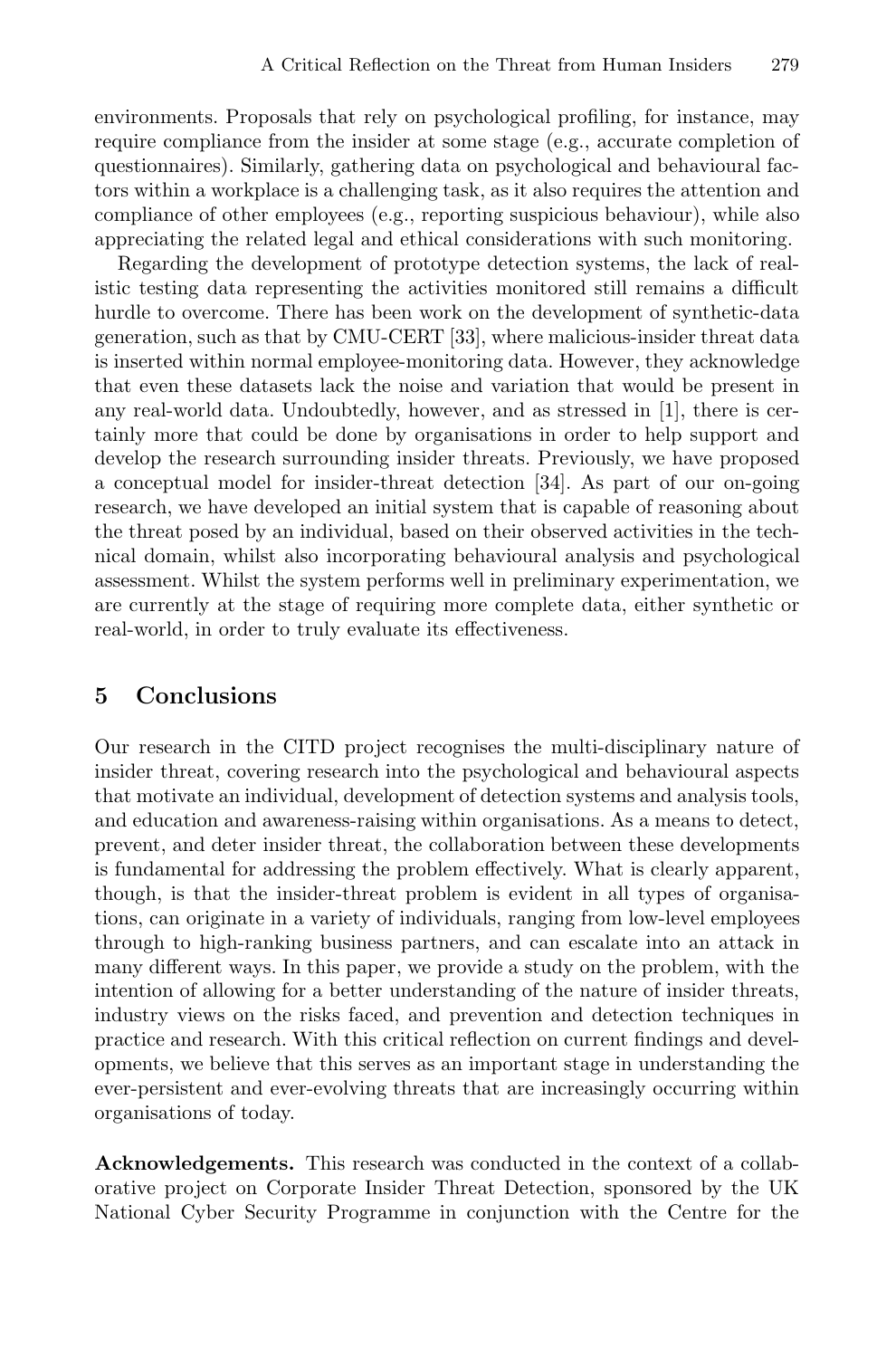environments. Proposals that rely on psychological profiling, for instance, may require compliance from the insider at some stage (e.g., accurate completion of questionnaires). Similarly, gathering data on psychological and behavioural factors within a workplace is a challenging task, as it also requires the attention and compliance of other employees (e.g., reporting suspicious behaviour), while also appreciating the related legal and ethical considerations with such monitoring.

Regarding the development of prototype detection systems, the lack of realistic testing data representing the activities monitored still remains a difficult hurdle to overcome. There has been work on the development of synthetic-data generation, such as that by CMU-CERT [\[33\]](#page-11-15), where malicious-insider threat data is inserted within normal employee-monitoring data. However, they acknowledge that even these datasets lack the noise and variation that would be present in any real-world data. Undoubtedly, however, and as stressed in [\[1\]](#page-10-0), there is certainly more that could be done by organisations in order to help support and develop the research surrounding insider threats. Previously, we have proposed a conceptual model for insider-threat detection [\[34\]](#page-11-16). As part of our on-going research, we have developed an initial system that is capable of reasoning about the threat posed by an individual, based on their observed activities in the technical domain, whilst also incorporating behavioural analysis and psychological assessment. Whilst the system performs well in preliminary experimentation, we are currently at the stage of requiring more complete data, either synthetic or real-world, in order to truly evaluate its effectiveness.

### 5 Conclusions

Our research in the CITD project recognises the multi-disciplinary nature of insider threat, covering research into the psychological and behavioural aspects that motivate an individual, development of detection systems and analysis tools, and education and awareness-raising within organisations. As a means to detect, prevent, and deter insider threat, the collaboration between these developments is fundamental for addressing the problem effectively. What is clearly apparent, though, is that the insider-threat problem is evident in all types of organisations, can originate in a variety of individuals, ranging from low-level employees through to high-ranking business partners, and can escalate into an attack in many different ways. In this paper, we provide a study on the problem, with the intention of allowing for a better understanding of the nature of insider threats, industry views on the risks faced, and prevention and detection techniques in practice and research. With this critical reflection on current findings and developments, we believe that this serves as an important stage in understanding the ever-persistent and ever-evolving threats that are increasingly occurring within organisations of today.

Acknowledgements. This research was conducted in the context of a collaborative project on Corporate Insider Threat Detection, sponsored by the UK National Cyber Security Programme in conjunction with the Centre for the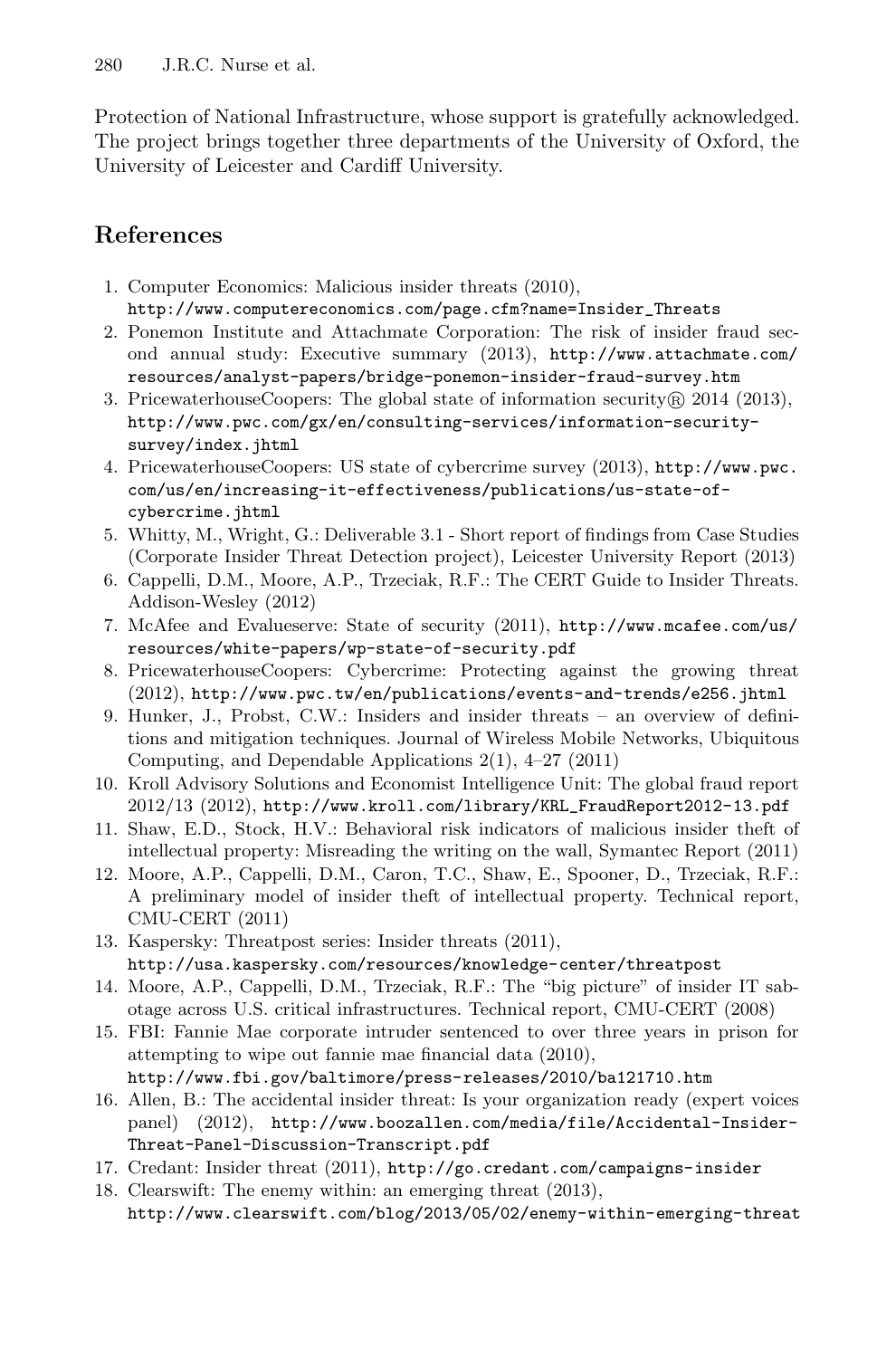<span id="page-10-1"></span><span id="page-10-0"></span>Protection of National Infrastructure, whose support is gratefully acknowledged. The project brings together three departments of the University of Oxford, the University of Leicester and Cardiff University.

# <span id="page-10-2"></span>References

- <span id="page-10-3"></span>1. Computer Economics: Malicious insider threats (2010), [http://www.computereconomics.com/page.cfm?name=Insider\\_Threats](http://www.computereconomics.com/page.cfm?name=Insider_Threats)
- <span id="page-10-4"></span>2. Ponemon Institute and Attachmate Corporation: The risk of insider fraud second annual study: Executive summary (2013), [http://www.attachmate.com/](http://www.attachmate.com/resources/analyst-papers/bridge-ponemon-insider-fraud-survey.htm) [resources/analyst-papers/bridge-ponemon-insider-fraud-survey.htm](http://www.attachmate.com/resources/analyst-papers/bridge-ponemon-insider-fraud-survey.htm)
- <span id="page-10-5"></span>3. PricewaterhouseCoopers: The global state of information security $(\overline{R})$  2014 (2013), [http://www.pwc.com/gx/en/consulting-services/information-security](http://www.pwc.com/gx/en/consulting-services/information-security-survey/index.jhtml)[survey/index.jhtml](http://www.pwc.com/gx/en/consulting-services/information-security-survey/index.jhtml)
- <span id="page-10-7"></span><span id="page-10-6"></span>4. PricewaterhouseCoopers: US state of cybercrime survey (2013), [http://www.pwc.](http://www.pwc.com/us/en/increasing-it-effectiveness/publications/us-state-of-cybercrime.jhtml) [com/us/en/increasing-it-effectiveness/publications/us-state-of](http://www.pwc.com/us/en/increasing-it-effectiveness/publications/us-state-of-cybercrime.jhtml)[cybercrime.jhtml](http://www.pwc.com/us/en/increasing-it-effectiveness/publications/us-state-of-cybercrime.jhtml)
- <span id="page-10-8"></span>5. Whitty, M., Wright, G.: Deliverable 3.1 - Short report of findings from Case Studies (Corporate Insider Threat Detection project), Leicester University Report (2013)
- <span id="page-10-9"></span>6. Cappelli, D.M., Moore, A.P., Trzeciak, R.F.: The CERT Guide to Insider Threats. Addison-Wesley (2012)
- <span id="page-10-10"></span>7. McAfee and Evalueserve: State of security (2011), [http://www.mcafee.com/us/](http://www.mcafee.com/us/resources/white-papers/wp-state-of-security.pdf) [resources/white-papers/wp-state-of-security.pdf](http://www.mcafee.com/us/resources/white-papers/wp-state-of-security.pdf)
- <span id="page-10-11"></span>8. PricewaterhouseCoopers: Cybercrime: Protecting against the growing threat (2012), <http://www.pwc.tw/en/publications/events-and-trends/e256.jhtml>
- <span id="page-10-12"></span>9. Hunker, J., Probst, C.W.: Insiders and insider threats – an overview of definitions and mitigation techniques. Journal of Wireless Mobile Networks, Ubiquitous Computing, and Dependable Applications 2(1), 4–27 (2011)
- <span id="page-10-13"></span>10. Kroll Advisory Solutions and Economist Intelligence Unit: The global fraud report 2012/13 (2012), [http://www.kroll.com/library/KRL\\_FraudReport2012-13.pdf](http://www.kroll.com/library/KRL_FraudReport2012-13.pdf)
- <span id="page-10-14"></span>11. Shaw, E.D., Stock, H.V.: Behavioral risk indicators of malicious insider theft of intellectual property: Misreading the writing on the wall, Symantec Report (2011)
- 12. Moore, A.P., Cappelli, D.M., Caron, T.C., Shaw, E., Spooner, D., Trzeciak, R.F.: A preliminary model of insider theft of intellectual property. Technical report, CMU-CERT (2011)
- <span id="page-10-15"></span>13. Kaspersky: Threatpost series: Insider threats (2011), <http://usa.kaspersky.com/resources/knowledge-center/threatpost>
- <span id="page-10-17"></span><span id="page-10-16"></span>14. Moore, A.P., Cappelli, D.M., Trzeciak, R.F.: The "big picture" of insider IT sabotage across U.S. critical infrastructures. Technical report, CMU-CERT (2008)
- 15. FBI: Fannie Mae corporate intruder sentenced to over three years in prison for attempting to wipe out fannie mae financial data (2010), <http://www.fbi.gov/baltimore/press-releases/2010/ba121710.htm>
- 16. Allen, B.: The accidental insider threat: Is your organization ready (expert voices panel) (2012), [http://www.boozallen.com/media/file/Accidental-Insider-](http://www.boozallen.com/media/file/Accidental-Insider-Threat-Panel-Discussion-Transcript.pdf)[Threat-Panel-Discussion-Transcript.pdf](http://www.boozallen.com/media/file/Accidental-Insider-Threat-Panel-Discussion-Transcript.pdf)
- 17. Credant: Insider threat (2011), <http://go.credant.com/campaigns-insider>
- 18. Clearswift: The enemy within: an emerging threat (2013), <http://www.clearswift.com/blog/2013/05/02/enemy-within-emerging-threat>